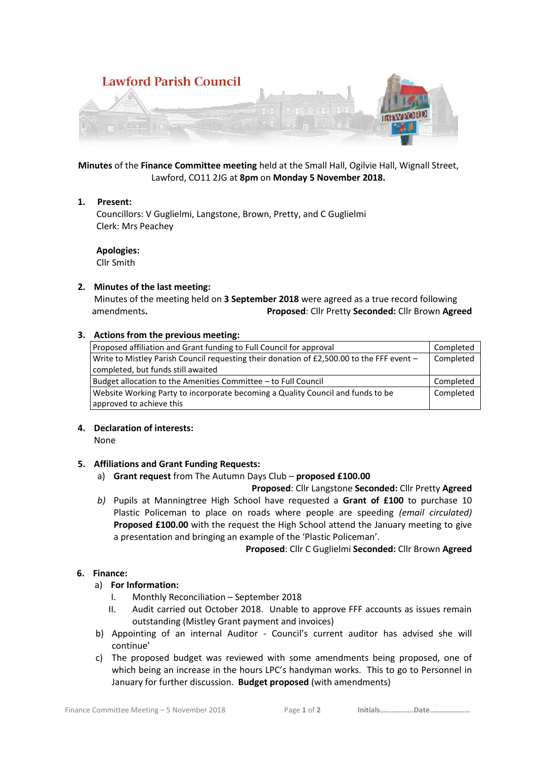

**Minutes** of the **Finance Committee meeting** held at the Small Hall, Ogilvie Hall, Wignall Street, Lawford, CO11 2JG at **8pm** on **Monday 5 November 2018.**

### **1. Present:**

 Councillors: V Guglielmi, Langstone, Brown, Pretty, and C Guglielmi Clerk: Mrs Peachey

**Apologies:**

Cllr Smith

### **2. Minutes of the last meeting:**

 Minutes of the meeting held on **3 September 2018** were agreed as a true record following amendments**. Proposed**: Cllr Pretty **Seconded:** Cllr Brown **Agreed**

### **3. Actions from the previous meeting:**

| Proposed affiliation and Grant funding to Full Council for approval                       | Completed |
|-------------------------------------------------------------------------------------------|-----------|
| Write to Mistley Parish Council requesting their donation of £2,500.00 to the FFF event - | Completed |
| completed, but funds still awaited                                                        |           |
| Budget allocation to the Amenities Committee – to Full Council                            | Completed |
| Website Working Party to incorporate becoming a Quality Council and funds to be           | Completed |
| approved to achieve this                                                                  |           |

# **4. Declaration of interests:**

None

# **5. Affiliations and Grant Funding Requests:**

a) **Grant request** from The Autumn Days Club – **proposed £100.00**

# **Proposed**: Cllr Langstone **Seconded:** Cllr Pretty **Agreed**

*b)* Pupils at Manningtree High School have requested a **Grant of £100** to purchase 10 Plastic Policeman to place on roads where people are speeding *(email circulated)* **Proposed £100.00** with the request the High School attend the January meeting to give a presentation and bringing an example of the 'Plastic Policeman'.

**Proposed**: Cllr C Guglielmi **Seconded:** Cllr Brown **Agreed**

# **6. Finance:**

# a) **For Information:**

- I. Monthly Reconciliation September 2018
- II. Audit carried out October 2018. Unable to approve FFF accounts as issues remain outstanding (Mistley Grant payment and invoices)
- b) Appointing of an internal Auditor Council's current auditor has advised she will continue'
- c) The proposed budget was reviewed with some amendments being proposed, one of which being an increase in the hours LPC's handyman works. This to go to Personnel in January for further discussion. **Budget proposed** (with amendments)